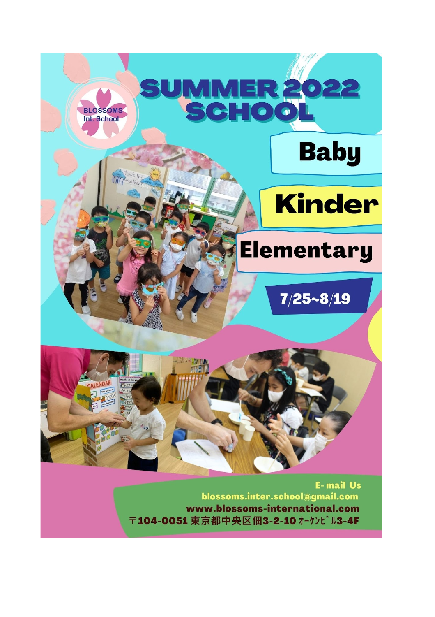

〒104-0051 東京都中央区佃3-2-10 オーケンビル3-4F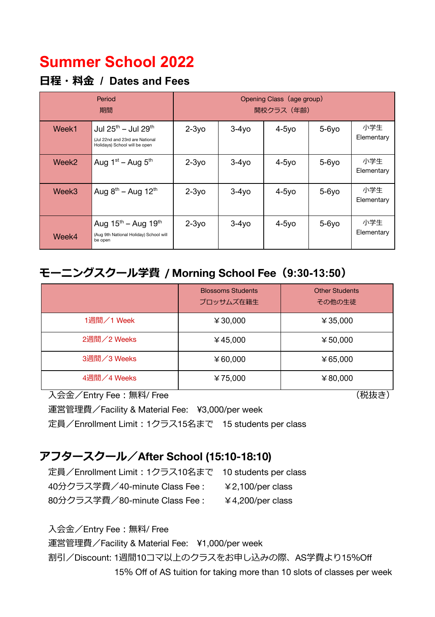# **Summer School 2022**

### **⽇程・料⾦ / Dates and Fees**

| Period<br>期間 |                                                                                                                 | Opening Class (age group)<br>開校クラス(年齢) |          |          |          |                   |  |
|--------------|-----------------------------------------------------------------------------------------------------------------|----------------------------------------|----------|----------|----------|-------------------|--|
| Week1        | Jul 25 <sup>th</sup> – Jul 29 <sup>th</sup><br>(Jul 22nd and 23rd are National<br>Holidays) School will be open | $2-3y$ o                               | $3-4y$ o | $4-5y$ o | $5-6y$ o | 小学生<br>Elementary |  |
| Week2        | Aug $1st$ – Aug $5th$                                                                                           | $2-3y$ o                               | $3-4y$ o | $4-5y$ o | $5-6y$ o | 小学生<br>Elementary |  |
| Week3        | Aug $8^{th}$ – Aug 12 <sup>th</sup>                                                                             | $2-3y$ o                               | $3-4y$ o | $4-5y$ o | $5-6y$ o | 小学生<br>Elementary |  |
| Week4        | Aug $15^{th}$ – Aug $19^{th}$<br>(Aug 9th National Holiday) School will<br>be open                              | $2-3y$ o                               | $3-4y$ o | $4-5y$ o | $5-6y$ o | 小学牛<br>Elementary |  |

## **モーニングスクール学費 / Morning School Fee(9:30-13:50)**

|             | <b>Blossoms Students</b><br>ブロッサムズ在籍生 | <b>Other Students</b><br>その他の生徒 |
|-------------|---------------------------------------|---------------------------------|
| 1週間/1 Week  | ¥ 30,000                              | ¥ 35,000                        |
| 2週間/2 Weeks | ¥45,000                               | ¥ 50,000                        |
| 3週間/3 Weeks | ¥ 60,000                              | ¥65,000                         |
| 4週間/4 Weeks | ¥75,000                               | ¥ 80,000                        |

入会金/Entry Fee : 無料/ Free (税抜き)

運営管理費/Facility & Material Fee: ¥3,000/per week

定員/Enrollment Limit︓1クラス15名まで 15 students per class

### **アフタースクール/After School (15:10-18:10)**

定員/Enrollment Limit︓1クラス10名まで 10 students per class 40分クラス学費/40-minute Class Fee : ¥2,100/per class 80分クラス学費/80-minute Class Fee : ¥4,200/per class

入会金/Entry Fee : 無料/ Free

 運営管理費/Facility & Material Fee: ¥1,000/per week 割引/Discount: 1週間10コマ以上のクラスをお申し込みの際、AS学費より15%Off 15% Off of AS tuition for taking more than 10 slots of classes per week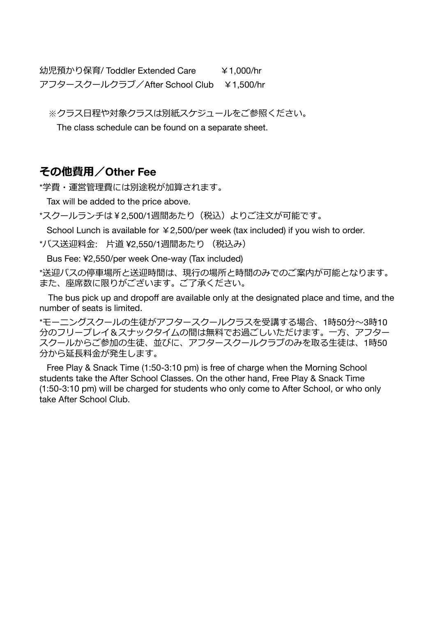幼児預かり保育/ Toddler Extended Care ¥1,000/hr アフタースクールクラブ/After School Club ¥1,500/hr

※クラス日程や対象クラスは別紙スケジュールをご参照ください。

The class schedule can be found on a separate sheet.

#### **その他費⽤/Other Fee**

\*学費・運営管理費には別途税が加算されます。

Tax will be added to the price above.

\*スクールランチは¥2,500/1週間あたり(税込)よりご注文が可能です。

School Lunch is available for  $\angle 2,500$ /per week (tax included) if you wish to order.

\*バス送迎料⾦: ⽚道 ¥2,550/1週間あたり (税込み)

Bus Fee: ¥2,550/per week One-way (Tax included)

\*送迎バスの停車場所と送迎時間は、現行の場所と時間のみでのご案内が可能となります。 また、座席数に限りがございます。ご了承ください。

The bus pick up and dropoff are available only at the designated place and time, and the number of seats is limited.

\*モーニングスクールの⽣徒がアフタースクールクラスを受講する場合、1時50分〜3時10 分のフリープレイ&スナックタイムの間は無料でお過ごしいただけます。一方、アフター スクールからご参加の⽣徒、並びに、アフタースクールクラブのみを取る⽣徒は、1時50 分から延⻑料⾦が発⽣します。

Free Play & Snack Time (1:50-3:10 pm) is free of charge when the Morning School students take the After School Classes. On the other hand, Free Play & Snack Time (1:50-3:10 pm) will be charged for students who only come to After School, or who only take After School Club.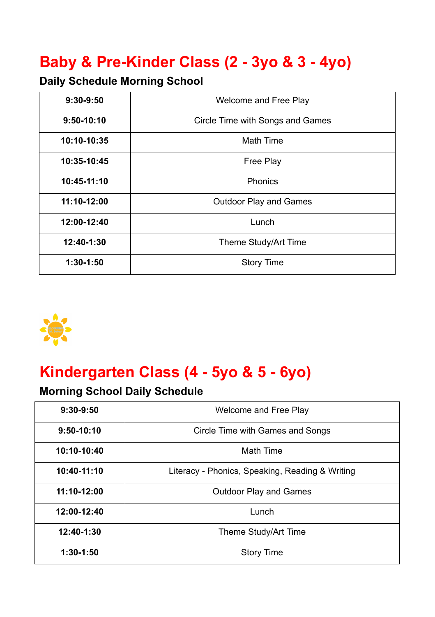# **Baby & Pre-Kinder Class (2 - 3yo & 3 - 4yo)**

## **Daily Schedule Morning School**

| $9:30-9:50$  | Welcome and Free Play            |
|--------------|----------------------------------|
| $9:50-10:10$ | Circle Time with Songs and Games |
| 10:10-10:35  | <b>Math Time</b>                 |
| 10:35-10:45  | <b>Free Play</b>                 |
| 10:45-11:10  | Phonics                          |
| 11:10-12:00  | <b>Outdoor Play and Games</b>    |
| 12:00-12:40  | Lunch                            |
| 12:40-1:30   | Theme Study/Art Time             |
| $1:30-1:50$  | <b>Story Time</b>                |



# **Kindergarten Class (4 - 5yo & 5 - 6yo)**

## **Morning School Daily Schedule**

| $9:30-9:50$  | Welcome and Free Play                           |  |  |  |
|--------------|-------------------------------------------------|--|--|--|
| $9:50-10:10$ | Circle Time with Games and Songs                |  |  |  |
| 10:10-10:40  | <b>Math Time</b>                                |  |  |  |
| 10:40-11:10  | Literacy - Phonics, Speaking, Reading & Writing |  |  |  |
| 11:10-12:00  | <b>Outdoor Play and Games</b>                   |  |  |  |
| 12:00-12:40  | Lunch                                           |  |  |  |
| 12:40-1:30   | Theme Study/Art Time                            |  |  |  |
| $1:30-1:50$  | <b>Story Time</b>                               |  |  |  |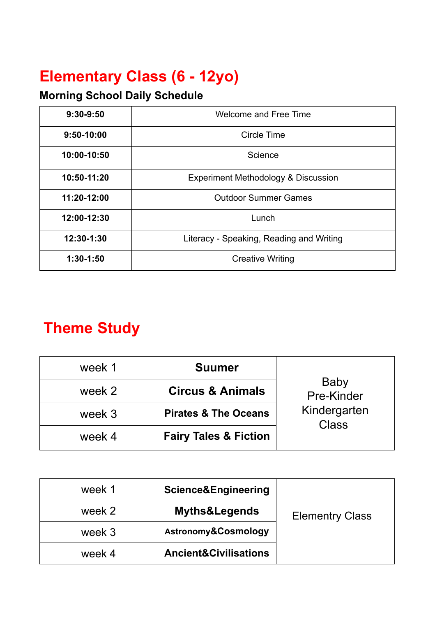# **Elementary Class (6 - 12yo)**

## **Morning School Daily Schedule**

| 9:30-9:50    | <b>Welcome and Free Time</b>                   |  |  |
|--------------|------------------------------------------------|--|--|
| $9:50-10:00$ | Circle Time                                    |  |  |
| 10:00-10:50  | Science                                        |  |  |
| 10:50-11:20  | <b>Experiment Methodology &amp; Discussion</b> |  |  |
| 11:20-12:00  | <b>Outdoor Summer Games</b>                    |  |  |
| 12:00-12:30  | Lunch                                          |  |  |
| 12:30-1:30   | Literacy - Speaking, Reading and Writing       |  |  |
| $1:30-1:50$  | <b>Creative Writing</b>                        |  |  |

# **Theme Study**

| week 1 | <b>Suumer</b>                    |                              |
|--------|----------------------------------|------------------------------|
| week 2 | <b>Circus &amp; Animals</b>      | Baby<br>Pre-Kinder           |
| week 3 | <b>Pirates &amp; The Oceans</b>  | Kindergarten<br><b>Class</b> |
| week 4 | <b>Fairy Tales &amp; Fiction</b> |                              |

| week 1 | Science&Engineering              |                        |
|--------|----------------------------------|------------------------|
| week 2 | <b>Myths&amp;Legends</b>         | <b>Elementry Class</b> |
| week 3 | Astronomy&Cosmology              |                        |
| week 4 | <b>Ancient&amp;Civilisations</b> |                        |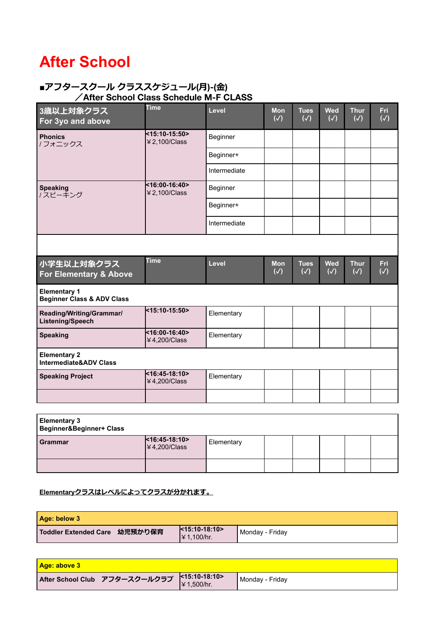# **After School**

#### **■アフタースクール クラススケジュール(⽉)-(⾦) /After School Class Schedule M-F CLASS**

| 3歳以上対象クラス<br>For 3yo and above                               | <b>Time</b>                       | Level        | <b>Mon</b><br>$(\sqrt{2})$  | <b>Tues</b><br>$(\sqrt{2})$  | <b>Wed</b><br>$(\sqrt{)}$   | <b>Thur</b><br>$(\sqrt{2})$  | Fri<br>$\overline{(\sqrt)}$ |
|--------------------------------------------------------------|-----------------------------------|--------------|-----------------------------|------------------------------|-----------------------------|------------------------------|-----------------------------|
| <b>Phonics</b><br>/ フォニックス                                   | <15:10-15:50><br>¥ 2,100/Class    | Beginner     |                             |                              |                             |                              |                             |
|                                                              |                                   | Beginner+    |                             |                              |                             |                              |                             |
|                                                              |                                   | Intermediate |                             |                              |                             |                              |                             |
| <b>Speaking</b><br>/スピーキング                                   | <16:00-16:40><br>¥ 2,100/Class    | Beginner     |                             |                              |                             |                              |                             |
|                                                              |                                   | Beginner+    |                             |                              |                             |                              |                             |
|                                                              |                                   | Intermediate |                             |                              |                             |                              |                             |
|                                                              |                                   |              |                             |                              |                             |                              |                             |
|                                                              |                                   |              |                             |                              |                             |                              |                             |
| 小学生以上対象クラス<br>For Elementary & Above                         | <b>Time</b>                       | Level        | <b>Mon</b><br>$(\sqrt{ } )$ | <b>Tues</b><br>$(\sqrt{ } )$ | <b>Wed</b><br>$(\sqrt{ } )$ | <b>Thur</b><br>$(\sqrt{ } )$ | Fri<br>$(\sqrt{ } )$        |
| <b>Elementary 1</b><br><b>Beginner Class &amp; ADV Class</b> |                                   |              |                             |                              |                             |                              |                             |
| Reading/Writing/Grammar/<br>Listening/Speech                 | <15:10-15:50>                     | Elementary   |                             |                              |                             |                              |                             |
| <b>Speaking</b>                                              | $<$ 16:00-16:40><br>¥ 4,200/Class | Elementary   |                             |                              |                             |                              |                             |
| <b>Elementary 2</b><br><b>Intermediate&amp;ADV Class</b>     |                                   |              |                             |                              |                             |                              |                             |
| <b>Speaking Project</b>                                      | <16:45-18:10><br>¥ 4,200/Class    | Elementary   |                             |                              |                             |                              |                             |

| <b>Elementary 3</b><br><b>Beginner&amp;Beginner+ Class</b> |                                                 |            |  |  |  |
|------------------------------------------------------------|-------------------------------------------------|------------|--|--|--|
| <b>Grammar</b>                                             | $ $ < 16:45-18:10><br>$\frac{1}{4}$ 4,200/Class | Elementary |  |  |  |
|                                                            |                                                 |            |  |  |  |

#### **Elementaryクラスはレベルによってクラスが分かれます。**

| Age: below 3                  |                                 |                   |
|-------------------------------|---------------------------------|-------------------|
| Toddler Extended Care 幼児預かり保育 | $k15:10-18:10>$<br>I¥ 1.100/hr. | l Mondav - Fridav |

| <u>  Age: above 3_</u>                                  |                 |
|---------------------------------------------------------|-----------------|
| After School Club アフタースクールクラブ $\Big \times15:10-18:10>$ | Monday - Friday |